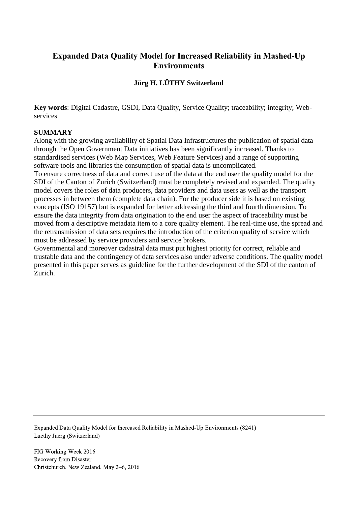# **Expanded Data Quality Model for Increased Reliability in Mashed-Up Environments**

# **Jürg H. LÜTHY Switzerland**

**Key words**: Digital Cadastre, GSDI, Data Quality, Service Quality; traceability; integrity; Webservices

## **SUMMARY**

Along with the growing availability of Spatial Data Infrastructures the publication of spatial data through the Open Government Data initiatives has been significantly increased. Thanks to standardised services (Web Map Services, Web Feature Services) and a range of supporting software tools and libraries the consumption of spatial data is uncomplicated.

To ensure correctness of data and correct use of the data at the end user the quality model for the SDI of the Canton of Zurich (Switzerland) must be completely revised and expanded. The quality model covers the roles of data producers, data providers and data users as well as the transport processes in between them (complete data chain). For the producer side it is based on existing concepts (ISO 19157) but is expanded for better addressing the third and fourth dimension. To ensure the data integrity from data origination to the end user the aspect of traceability must be moved from a descriptive metadata item to a core quality element. The real-time use, the spread and the retransmission of data sets requires the introduction of the criterion quality of service which must be addressed by service providers and service brokers.

Governmental and moreover cadastral data must put highest priority for correct, reliable and trustable data and the contingency of data services also under adverse conditions. The quality model presented in this paper serves as guideline for the further development of the SDI of the canton of Zurich.

Expanded Data Quality Model for Increased Reliability in Mashed-Up Environments (8241) Luethy Juerg (Switzerland)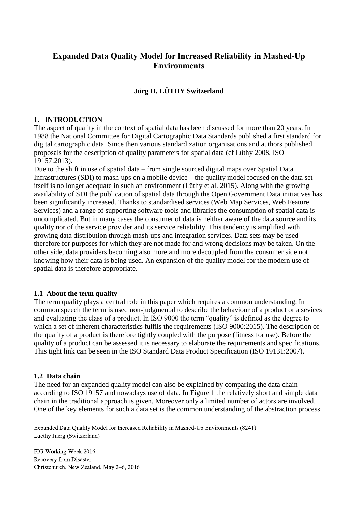# **Expanded Data Quality Model for Increased Reliability in Mashed-Up Environments**

# **Jürg H. LÜTHY Switzerland**

### **1. INTRODUCTION**

The aspect of quality in the context of spatial data has been discussed for more than 20 years. In 1988 the National Committee for Digital Cartographic Data Standards published a first standard for digital cartographic data. Since then various standardization organisations and authors published proposals for the description of quality parameters for spatial data (cf Lüthy 2008, ISO 19157:2013).

Due to the shift in use of spatial data – from single sourced digital maps over Spatial Data Infrastructures (SDI) to mash-ups on a mobile device – the quality model focused on the data set itself is no longer adequate in such an environment (Lüthy et al. 2015). Along with the growing availability of SDI the publication of spatial data through the Open Government Data initiatives has been significantly increased. Thanks to standardised services (Web Map Services, Web Feature Services) and a range of supporting software tools and libraries the consumption of spatial data is uncomplicated. But in many cases the consumer of data is neither aware of the data source and its quality nor of the service provider and its service reliability. This tendency is amplified with growing data distribution through mash-ups and integration services. Data sets may be used therefore for purposes for which they are not made for and wrong decisions may be taken. On the other side, data providers becoming also more and more decoupled from the consumer side not knowing how their data is being used. An expansion of the quality model for the modern use of spatial data is therefore appropriate.

### **1.1 About the term quality**

The term quality plays a central role in this paper which requires a common understanding. In common speech the term is used non-judgmental to describe the behaviour of a product or a sevices and evaluating the class of a product. In ISO 9000 the term "quality" is defined as the degree to which a set of inherent characteristics fulfils the requirements (ISO 9000:2015). The description of the quality of a product is therefore tightly coupled with the purpose (fitness for use). Before the quality of a product can be assessed it is necessary to elaborate the requirements and specifications. This tight link can be seen in the ISO Standard Data Product Specification (ISO 19131:2007).

### **1.2 Data chain**

The need for an expanded quality model can also be explained by comparing the data chain according to ISO 19157 and nowadays use of data. In [Figure 1](#page-2-0) the relatively short and simple data chain in the traditional approach is given. Moreover only a limited number of actors are involved. One of the key elements for such a data set is the common understanding of the abstraction process

Expanded Data Quality Model for Increased Reliability in Mashed-Up Environments (8241) Luethy Juerg (Switzerland)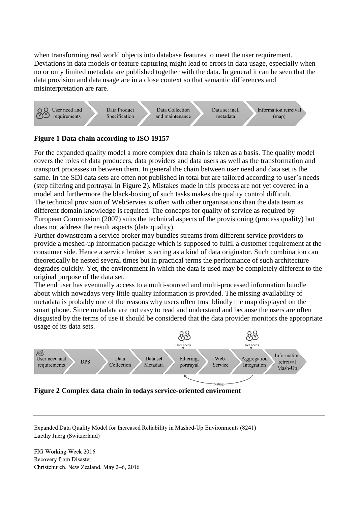when transforming real world objects into database features to meet the user requirement. Deviations in data models or feature capturing might lead to errors in data usage, especially when no or only limited metadata are published together with the data. In general it can be seen that the data provision and data usage are in a close context so that semantic differences and misinterpretation are rare.



# <span id="page-2-0"></span>**Figure 1 Data chain according to ISO 19157**

For the expanded quality model a more complex data chain is taken as a basis. The quality model covers the roles of data producers, data providers and data users as well as the transformation and transport processes in between them. In general the chain between user need and data set is the same. In the SDI data sets are often not published in total but are tailored according to user's needs (step filtering and portrayal in [Figure 2\)](#page-2-1). Mistakes made in this process are not yet covered in a model and furthermore the black-boxing of such tasks makes the quality control difficult. The technical provision of WebServies is often with other organisations than the data team as different domain knowledge is required. The concepts for quality of service as required by European Commission (2007) suits the technical aspects of the provisioning (process quality) but does not address the result aspects (data quality).

Further downstream a service broker may bundles streams from different service providers to provide a meshed-up information package which is supposed to fulfil a customer requirement at the consumer side. Hence a service broker is acting as a kind of data originator. Such combination can theoretically be nested several times but in practical terms the performance of such architecture degrades quickly. Yet, the environment in which the data is used may be completely different to the original purpose of the data set.

The end user has eventually access to a multi-sourced and multi-processed information bundle about which nowadays very little quality information is provided. The missing availability of metadata is probably one of the reasons why users often trust blindly the map displayed on the smart phone. Since metadata are not easy to read and understand and because the users are often disgusted by the terms of use it should be considered that the data provider monitors the appropriate usage of its data sets.



<span id="page-2-1"></span>

Expanded Data Quality Model for Increased Reliability in Mashed-Up Environments (8241) Luethy Juerg (Switzerland)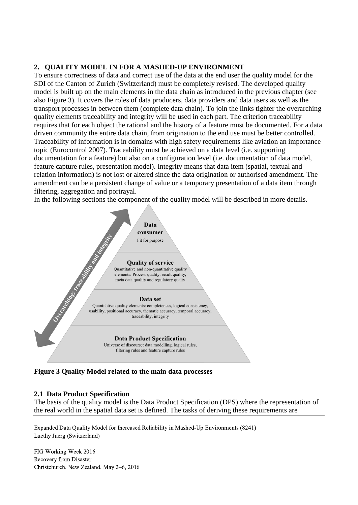# **2. QUALITY MODEL IN FOR A MASHED-UP ENVIRONMENT**

To ensure correctness of data and correct use of the data at the end user the quality model for the SDI of the Canton of Zurich (Switzerland) must be completely revised. The developed quality model is built up on the main elements in the data chain as introduced in the previous chapter (see also [Figure 3\)](#page-3-0). It covers the roles of data producers, data providers and data users as well as the transport processes in between them (complete data chain). To join the links tighter the overarching quality elements traceability and integrity will be used in each part. The criterion traceability requires that for each object the rational and the history of a feature must be documented. For a data driven community the entire data chain, from origination to the end use must be better controlled. Traceability of information is in domains with high safety requirements like aviation an importance topic (Eurocontrol 2007). Traceability must be achieved on a data level (i.e. supporting documentation for a feature) but also on a configuration level (i.e. documentation of data model, feature capture rules, presentation model). Integrity means that data item (spatial, textual and relation information) is not lost or altered since the data origination or authorised amendment. The amendment can be a persistent change of value or a temporary presentation of a data item through filtering, aggregation and portrayal.

In the following sections the component of the quality model will be described in more details.



<span id="page-3-0"></span>**Figure 3 Quality Model related to the main data processes**

# **2.1 Data Product Specification**

The basis of the quality model is the Data Product Specification (DPS) where the representation of the real world in the spatial data set is defined. The tasks of deriving these requirements are

Expanded Data Quality Model for Increased Reliability in Mashed-Up Environments (8241) Luethy Juerg (Switzerland)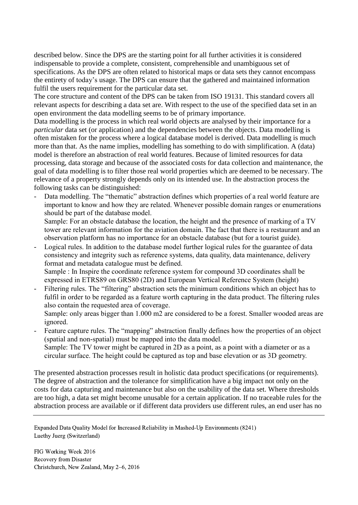described below. Since the DPS are the starting point for all further activities it is considered indispensable to provide a complete, consistent, comprehensible and unambiguous set of specifications. As the DPS are often related to historical maps or data sets they cannot encompass the entirety of today's usage. The DPS can ensure that the gathered and maintained information fulfil the users requirement for the particular data set.

The core structure and content of the DPS can be taken from ISO 19131. This standard covers all relevant aspects for describing a data set are. With respect to the use of the specified data set in an open environment the data modelling seems to be of primary importance.

Data modelling is the process in which real world objects are analysed by their importance for a *particular* data set (or application) and the dependencies between the objects. Data modelling is often mistaken for the process where a logical database model is derived. Data modelling is much more than that. As the name implies, modelling has something to do with simplification. A (data) model is therefore an abstraction of real world features. Because of limited resources for data processing, data storage and because of the associated costs for data collection and maintenance, the goal of data modelling is to filter those real world properties which are deemed to be necessary. The relevance of a property strongly depends only on its intended use. In the abstraction process the following tasks can be distinguished:

Data modelling. The "thematic" abstraction defines which properties of a real world feature are important to know and how they are related. Whenever possible domain ranges or enumerations should be part of the database model.

Sample: For an obstacle database the location, the height and the presence of marking of a TV tower are relevant information for the aviation domain. The fact that there is a restaurant and an observation platform has no importance for an obstacle database (but for a tourist guide).

- Logical rules. In addition to the database model further logical rules for the guarantee of data consistency and integrity such as reference systems, data quality, data maintenance, delivery format and metadata catalogue must be defined. Sample : In Inspire the coordinate reference system for compound 3D coordinates shall be

expressed in ETRS89 on GRS80 (2D) and European Vertical Reference System (height)

- Filtering rules. The "filtering" abstraction sets the minimum conditions which an object has to fulfil in order to be regarded as a feature worth capturing in the data product. The filtering rules also contain the requested area of coverage.

Sample: only areas bigger than 1.000 m2 are considered to be a forest. Smaller wooded areas are ignored.

Feature capture rules. The "mapping" abstraction finally defines how the properties of an object (spatial and non-spatial) must be mapped into the data model. Sample: The TV tower might be captured in 2D as a point, as a point with a diameter or as a circular surface. The height could be captured as top and base elevation or as 3D geometry.

The presented abstraction processes result in holistic data product specifications (or requirements). The degree of abstraction and the tolerance for simplification have a big impact not only on the costs for data capturing and maintenance but also on the usability of the data set. Where thresholds are too high, a data set might become unusable for a certain application. If no traceable rules for the abstraction process are available or if different data providers use different rules, an end user has no

Expanded Data Quality Model for Increased Reliability in Mashed-Up Environments (8241) Luethy Juerg (Switzerland)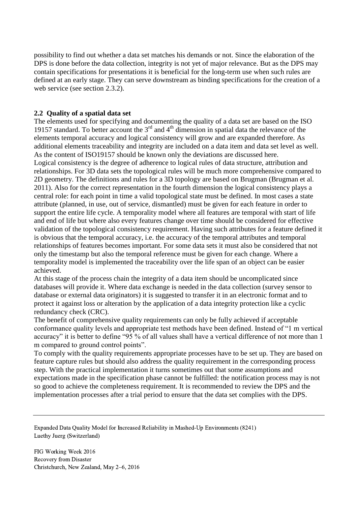possibility to find out whether a data set matches his demands or not. Since the elaboration of the DPS is done before the data collection, integrity is not yet of major relevance. But as the DPS may contain specifications for presentations it is beneficial for the long-term use when such rules are defined at an early stage. They can serve downstream as binding specifications for the creation of a web service (see section [2.3.2\)](#page-8-0).

## **2.2 Quality of a spatial data set**

The elements used for specifying and documenting the quality of a data set are based on the ISO 19157 standard. To better account the  $3<sup>rd</sup>$  and  $4<sup>th</sup>$  dimension in spatial data the relevance of the elements temporal accuracy and logical consistency will grow and are expanded therefore. As additional elements traceability and integrity are included on a data item and data set level as well. As the content of ISO19157 should be known only the deviations are discussed here. Logical consistency is the degree of adherence to logical rules of data structure, attribution and relationships. For 3D data sets the topological rules will be much more comprehensive compared to 2D geometry. The definitions and rules for a 3D topology are based on Brugman (Brugman et al. 2011). Also for the correct representation in the fourth dimension the logical consistency plays a central role: for each point in time a valid topological state must be defined. In most cases a state attribute (planned, in use, out of service, dismantled) must be given for each feature in order to support the entire life cycle. A temporality model where all features are temporal with start of life and end of life but where also every features change over time should be considered for effective validation of the topological consistency requirement. Having such attributes for a feature defined it is obvious that the temporal accuracy, i.e. the accuracy of the temporal attributes and temporal relationships of features becomes important. For some data sets it must also be considered that not only the timestamp but also the temporal reference must be given for each change. Where a temporality model is implemented the traceability over the life span of an object can be easier achieved.

At this stage of the process chain the integrity of a data item should be uncomplicated since databases will provide it. Where data exchange is needed in the data collection (survey sensor to database or external data originators) it is suggested to transfer it in an electronic format and to protect it against loss or alteration by the application of a data integrity protection like a cyclic redundancy check (CRC).

The benefit of comprehensive quality requirements can only be fully achieved if acceptable conformance quality levels and appropriate test methods have been defined. Instead of "1 m vertical accuracy" it is better to define "95 % of all values shall have a vertical difference of not more than 1 m compared to ground control points".

To comply with the quality requirements appropriate processes have to be set up. They are based on feature capture rules but should also address the quality requirement in the corresponding process step. With the practical implementation it turns sometimes out that some assumptions and expectations made in the specification phase cannot be fulfilled: the notification process may is not so good to achieve the completeness requirement. It is recommended to review the DPS and the implementation processes after a trial period to ensure that the data set complies with the DPS.

Expanded Data Quality Model for Increased Reliability in Mashed-Up Environments (8241) Luethy Juerg (Switzerland)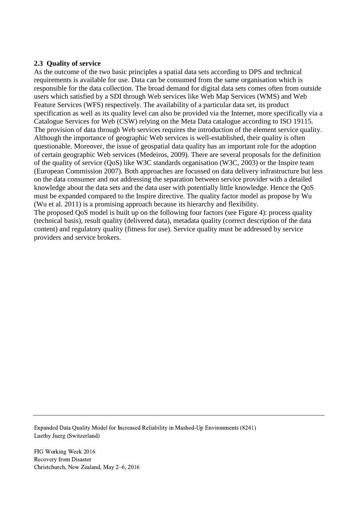# **2.3 Quality of service**

As the outcome of the two basic principles a spatial data sets according to DPS and technical requirements is available for use. Data can be consumed from the same organisation which is responsible for the data collection. The broad demand for digital data sets comes often from outside users which satisfied by a SDI through Web services like Web Map Services (WMS) and Web Feature Services (WFS) respectively. The availability of a particular data set, its product specification as well as its quality level can also be provided via the Internet, more specifically via a Catalogue Services for Web (CSW) relying on the Meta Data catalogue according to ISO 19115. The provision of data through Web services requires the introduction of the element service quality. Although the importance of geographic Web services is well-established, their quality is often questionable. Moreover, the issue of geospatial data quality has an important role for the adoption of certain geographic Web services (Medeiros, 2009). There are several proposals for the definition of the quality of service (QoS) like W3C standards organisation (W3C, 2003) or the Inspire team (European Commission 2007). Both approaches are focussed on data delivery infrastructure but less on the data consumer and not addressing the separation between service provider with a detailed knowledge about the data sets and the data user with potentially little knowledge. Hence the QoS must be expanded compared to the Inspire directive. The quality factor model as propose by Wu (Wu et al. 2011) is a promising approach because its hierarchy and flexibility.

The proposed QoS model is built up on the following four factors (see [Figure 4\)](#page-7-0): process quality (technical basis), result quality (delivered data), metadata quality (correct description of the data content) and regulatory quality (fitness for use). Service quality must be addressed by service providers and service brokers.

Expanded Data Quality Model for Increased Reliability in Mashed-Up Environments (8241) Luethy Juerg (Switzerland)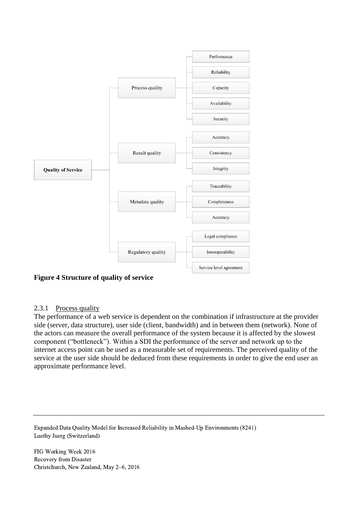

<span id="page-7-0"></span>**Figure 4 Structure of quality of service**

# 2.3.1 Process quality

The performance of a web service is dependent on the combination if infrastructure at the provider side (server, data structure), user side (client, bandwidth) and in between them (network). None of the actors can measure the overall performance of the system because it is affected by the slowest component ("bottleneck"). Within a SDI the performance of the server and network up to the internet access point can be used as a measurable set of requirements. The perceived quality of the service at the user side should be deduced from these requirements in order to give the end user an approximate performance level.

Expanded Data Quality Model for Increased Reliability in Mashed-Up Environments (8241) Luethy Juerg (Switzerland)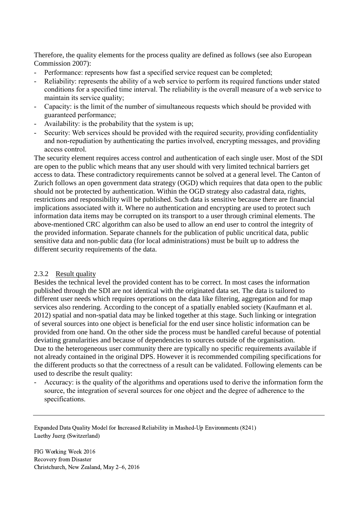Therefore, the quality elements for the process quality are defined as follows (see also European Commission 2007):

- Performance: represents how fast a specified service request can be completed;
- Reliability: represents the ability of a web service to perform its required functions under stated conditions for a specified time interval. The reliability is the overall measure of a web service to maintain its service quality;
- Capacity: is the limit of the number of simultaneous requests which should be provided with guaranteed performance;
- Availability: is the probability that the system is up;
- Security: Web services should be provided with the required security, providing confidentiality and non-repudiation by authenticating the parties involved, encrypting messages, and providing access control.

The security element requires access control and authentication of each single user. Most of the SDI are open to the public which means that any user should with very limited technical barriers get access to data. These contradictory requirements cannot be solved at a general level. The Canton of Zurich follows an open government data strategy (OGD) which requires that data open to the public should not be protected by authentication. Within the OGD strategy also cadastral data, rights, restrictions and responsibility will be published. Such data is sensitive because there are financial implications associated with it. Where no authentication and encrypting are used to protect such information data items may be corrupted on its transport to a user through criminal elements. The above-mentioned CRC algorithm can also be used to allow an end user to control the integrity of the provided information. Separate channels for the publication of public uncritical data, public sensitive data and non-public data (for local administrations) must be built up to address the different security requirements of the data.

### <span id="page-8-0"></span>2.3.2 Result quality

Besides the technical level the provided content has to be correct. In most cases the information published through the SDI are not identical with the originated data set. The data is tailored to different user needs which requires operations on the data like filtering, aggregation and for map services also rendering. According to the concept of a spatially enabled society (Kaufmann et al. 2012) spatial and non-spatial data may be linked together at this stage. Such linking or integration of several sources into one object is beneficial for the end user since holistic information can be provided from one hand. On the other side the process must be handled careful because of potential deviating granularities and because of dependencies to sources outside of the organisation. Due to the heterogeneous user community there are typically no specific requirements available if not already contained in the original DPS. However it is recommended compiling specifications for the different products so that the correctness of a result can be validated. Following elements can be used to describe the result quality:

- Accuracy: is the quality of the algorithms and operations used to derive the information form the source, the integration of several sources for one object and the degree of adherence to the specifications.

Expanded Data Quality Model for Increased Reliability in Mashed-Up Environments (8241) Luethy Juerg (Switzerland)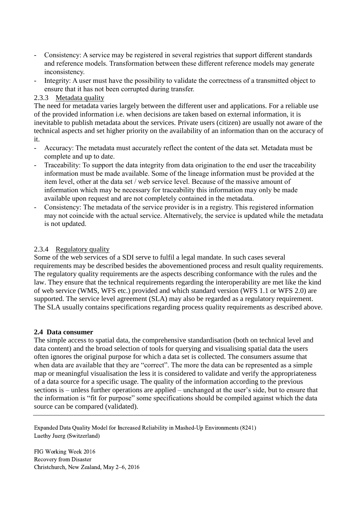- Consistency: A service may be registered in several registries that support different standards and reference models. Transformation between these different reference models may generate inconsistency.
- Integrity: A user must have the possibility to validate the correctness of a transmitted object to ensure that it has not been corrupted during transfer.

## 2.3.3 Metadata quality

The need for metadata varies largely between the different user and applications. For a reliable use of the provided information i.e. when decisions are taken based on external information, it is inevitable to publish metadata about the services. Private users (citizen) are usually not aware of the technical aspects and set higher priority on the availability of an information than on the accuracy of it.

- Accuracy: The metadata must accurately reflect the content of the data set. Metadata must be complete and up to date.
- Traceability: To support the data integrity from data origination to the end user the traceability information must be made available. Some of the lineage information must be provided at the item level, other at the data set / web service level. Because of the massive amount of information which may be necessary for traceability this information may only be made available upon request and are not completely contained in the metadata.
- Consistency: The metadata of the service provider is in a registry. This registered information may not coincide with the actual service. Alternatively, the service is updated while the metadata is not updated.

## 2.3.4 Regulatory quality

Some of the web services of a SDI serve to fulfil a legal mandate. In such cases several requirements may be described besides the abovementioned process and result quality requirements. The regulatory quality requirements are the aspects describing conformance with the rules and the law. They ensure that the technical requirements regarding the interoperability are met like the kind of web service (WMS, WFS etc.) provided and which standard version (WFS 1.1 or WFS 2.0) are supported. The service level agreement (SLA) may also be regarded as a regulatory requirement. The SLA usually contains specifications regarding process quality requirements as described above.

### **2.4 Data consumer**

The simple access to spatial data, the comprehensive standardisation (both on technical level and data content) and the broad selection of tools for querying and visualising spatial data the users often ignores the original purpose for which a data set is collected. The consumers assume that when data are available that they are "correct". The more the data can be represented as a simple map or meaningful visualisation the less it is considered to validate and verify the appropriateness of a data source for a specific usage. The quality of the information according to the previous sections is – unless further operations are applied – unchanged at the user's side, but to ensure that the information is "fit for purpose" some specifications should be compiled against which the data source can be compared (validated).

Expanded Data Quality Model for Increased Reliability in Mashed-Up Environments (8241) Luethy Juerg (Switzerland)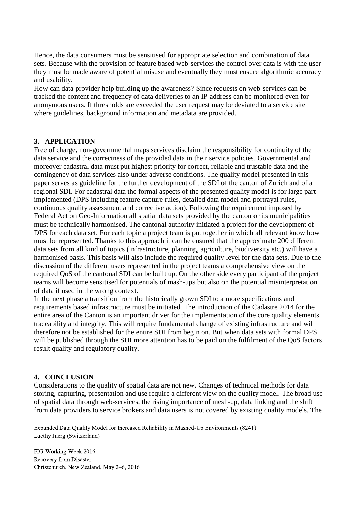Hence, the data consumers must be sensitised for appropriate selection and combination of data sets. Because with the provision of feature based web-services the control over data is with the user they must be made aware of potential misuse and eventually they must ensure algorithmic accuracy and usability.

How can data provider help building up the awareness? Since requests on web-services can be tracked the content and frequency of data deliveries to an IP-address can be monitored even for anonymous users. If thresholds are exceeded the user request may be deviated to a service site where guidelines, background information and metadata are provided.

# **3. APPLICATION**

Free of charge, non-governmental maps services disclaim the responsibility for continuity of the data service and the correctness of the provided data in their service policies. Governmental and moreover cadastral data must put highest priority for correct, reliable and trustable data and the contingency of data services also under adverse conditions. The quality model presented in this paper serves as guideline for the further development of the SDI of the canton of Zurich and of a regional SDI. For cadastral data the formal aspects of the presented quality model is for large part implemented (DPS including feature capture rules, detailed data model and portrayal rules, continuous quality assessment and corrective action). Following the requirement imposed by Federal Act on Geo-Information all spatial data sets provided by the canton or its municipalities must be technically harmonised. The cantonal authority initiated a project for the development of DPS for each data set. For each topic a project team is put together in which all relevant know how must be represented. Thanks to this approach it can be ensured that the approximate 200 different data sets from all kind of topics (infrastructure, planning, agriculture, biodiversity etc.) will have a harmonised basis. This basis will also include the required quality level for the data sets. Due to the discussion of the different users represented in the project teams a comprehensive view on the required QoS of the cantonal SDI can be built up. On the other side every participant of the project teams will become sensitised for potentials of mash-ups but also on the potential misinterpretation of data if used in the wrong context.

In the next phase a transition from the historically grown SDI to a more specifications and requirements based infrastructure must be initiated. The introduction of the Cadastre 2014 for the entire area of the Canton is an important driver for the implementation of the core quality elements traceability and integrity. This will require fundamental change of existing infrastructure and will therefore not be established for the entire SDI from begin on. But when data sets with formal DPS will be published through the SDI more attention has to be paid on the fulfilment of the QoS factors result quality and regulatory quality.

### **4. CONCLUSION**

Considerations to the quality of spatial data are not new. Changes of technical methods for data storing, capturing, presentation and use require a different view on the quality model. The broad use of spatial data through web-services, the rising importance of mesh-up, data linking and the shift from data providers to service brokers and data users is not covered by existing quality models. The

Expanded Data Quality Model for Increased Reliability in Mashed-Up Environments (8241) Luethy Juerg (Switzerland)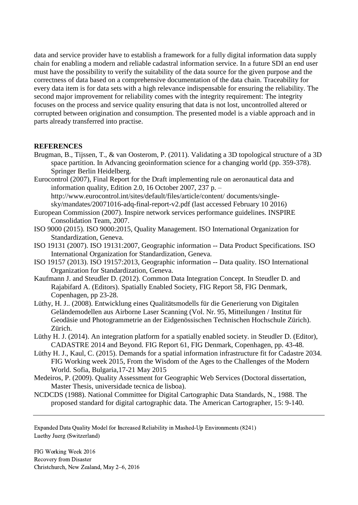data and service provider have to establish a framework for a fully digital information data supply chain for enabling a modern and reliable cadastral information service. In a future SDI an end user must have the possibility to verify the suitability of the data source for the given purpose and the correctness of data based on a comprehensive documentation of the data chain. Traceability for every data item is for data sets with a high relevance indispensable for ensuring the reliability. The second major improvement for reliability comes with the integrity requirement: The integrity focuses on the process and service quality ensuring that data is not lost, uncontrolled altered or corrupted between origination and consumption. The presented model is a viable approach and in parts already transferred into practise.

### **REFERENCES**

- Brugman, B., Tijssen, T., & van Oosterom, P. (2011). Validating a 3D topological structure of a 3D space partition. In Advancing geoinformation science for a changing world (pp. 359-378). Springer Berlin Heidelberg.
- Eurocontrol (2007), Final Report for the Draft implementing rule on aeronautical data and information quality, Edition 2.0, 16 October 2007, 237 p. – http://www.eurocontrol.int/sites/default/files/article/content/ documents/singlesky/mandates/20071016-adq-final-report-v2.pdf (last accessed February 10 2016)
- European Commission (2007). Inspire network services performance guidelines. INSPIRE Consolidation Team, 2007.
- ISO 9000 (2015). ISO 9000:2015, Quality Management. ISO International Organization for Standardization, Geneva.
- ISO 19131 (2007). ISO 19131:2007, Geographic information -- Data Product Specifications. ISO International Organization for Standardization, Geneva.
- ISO 19157 (2013). ISO 19157:2013, Geographic information -- Data quality. ISO International Organization for Standardization, Geneva.
- Kaufmann J. and Steudler D. (2012). Common Data Integration Concept. In Steudler D. and Rajabifard A. (Editors). Spatially Enabled Society, FIG Report 58, FIG Denmark, Copenhagen, pp 23-28.
- Lüthy, H. J.. (2008). Entwicklung eines Qualitätsmodells für die Generierung von Digitalen Geländemodellen aus Airborne Laser Scanning (Vol. Nr. 95, Mitteilungen / Institut für Geodäsie und Photogrammetrie an der Eidgenössischen Technischen Hochschule Zürich). Zürich.
- Lüthy H. J. (2014). An integration platform for a spatially enabled society. in Steudler D. (Editor), CADASTRE 2014 and Beyond. FIG Report 61, FIG Denmark, Copenhagen, pp. 43-48.
- Lüthy H. J., Kaul, C. (2015). Demands for a spatial information infrastructure fit for Cadastre 2034. FIG Working week 2015, From the Wisdom of the Ages to the Challenges of the Modern World. Sofia, Bulgaria,17-21 May 2015
- Medeiros, P. (2009). Quality Assessment for Geographic Web Services (Doctoral dissertation, Master Thesis, universidade tecnica de lisboa).
- NCDCDS (1988). National Committee for Digital Cartographic Data Standards, N., 1988. The proposed standard for digital cartographic data. The American Cartographer, 15: 9-140.

Expanded Data Quality Model for Increased Reliability in Mashed-Up Environments (8241) Luethy Juerg (Switzerland)